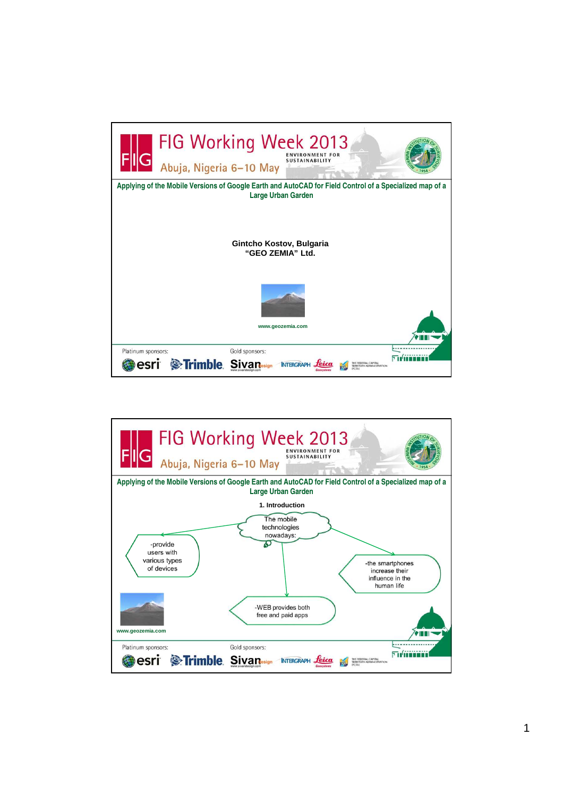

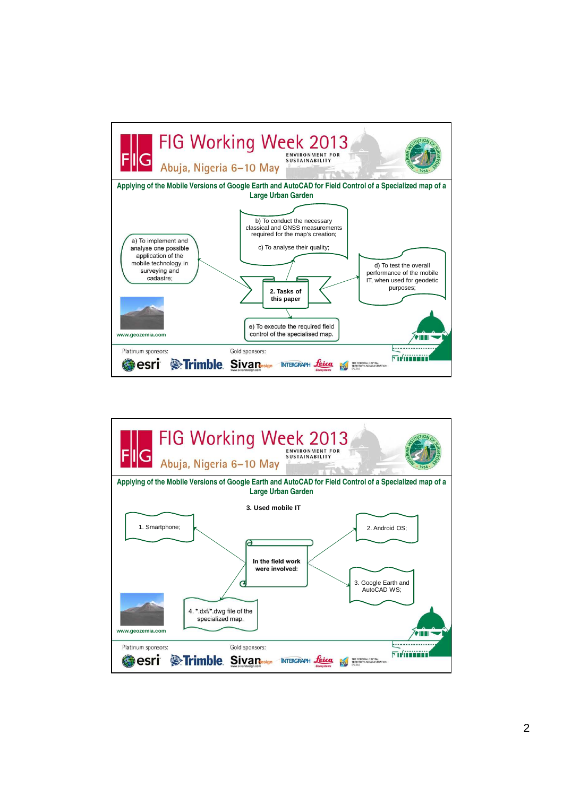

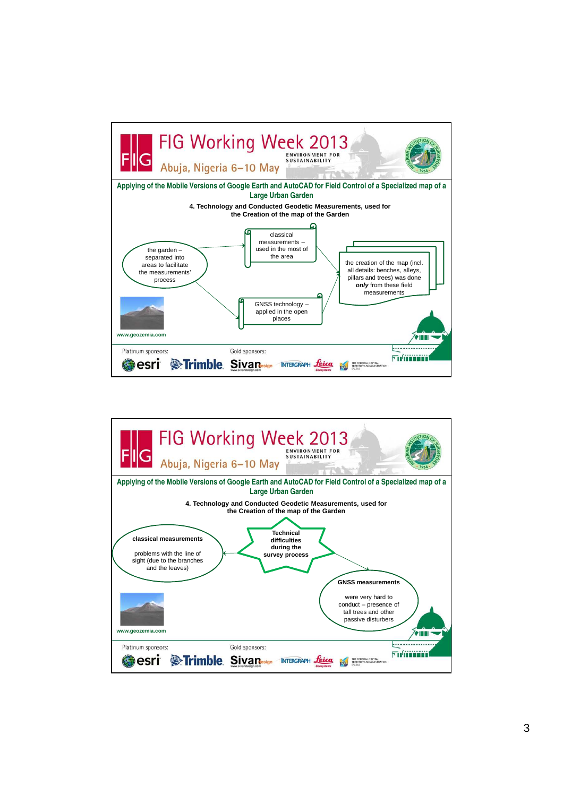

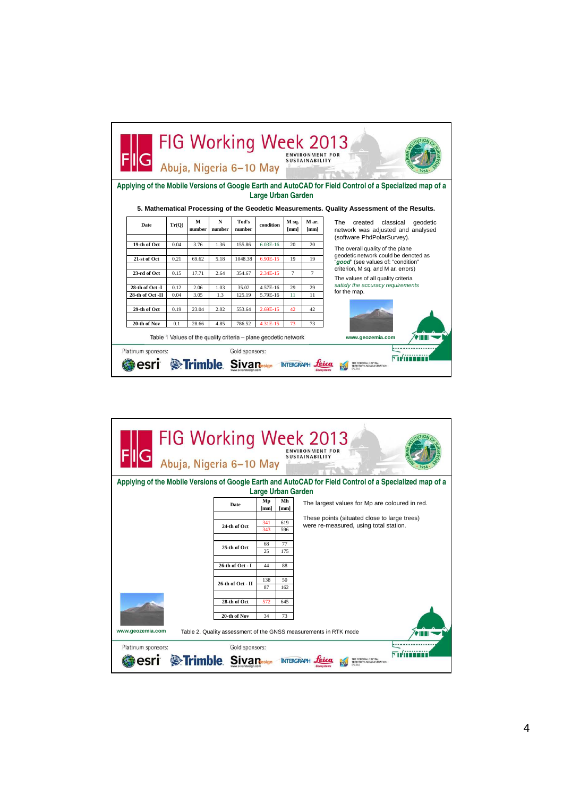| FIG Working Week 2013<br><b>ENVIRONMENT FOR</b><br><b>SUSTAINABILITY</b><br>Abuja, Nigeria 6-10 May                                  |              |                   |             |                 |                      |                  |                |                                                                                     |
|--------------------------------------------------------------------------------------------------------------------------------------|--------------|-------------------|-------------|-----------------|----------------------|------------------|----------------|-------------------------------------------------------------------------------------|
| Applying of the Mobile Versions of Google Earth and AutoCAD for Field Control of a Specialized map of a<br><b>Large Urban Garden</b> |              |                   |             |                 |                      |                  |                |                                                                                     |
| 5. Mathematical Processing of the Geodetic Measurements. Quality Assessment of the Results.                                          |              |                   |             |                 |                      |                  |                |                                                                                     |
| Date                                                                                                                                 | Tr(O)        | М<br>number       | N<br>number | Tod's<br>number | condition            | M sa.<br>[mm]    | M ar.<br>[mm]  | <b>The</b><br>created<br>classical<br>qeodetic<br>network was adjusted and analysed |
|                                                                                                                                      |              |                   |             |                 |                      |                  |                | (software PhdPolarSurvey).                                                          |
| 19-th of Oct                                                                                                                         | 0.04         | 3.76              | 1.36        | 155.86          | 6.03E-16             | 20               | 20             | The overall quality of the plane                                                    |
| 21-st of Oct                                                                                                                         | 0.21         | 69.62             | 5.18        | 1048.38         | 6.90E-15             | 19               | 19             | geodetic network could be denoted as                                                |
|                                                                                                                                      |              |                   |             |                 |                      |                  |                | "good" (see values of: "condition"                                                  |
| 23-rd of Oct                                                                                                                         | 0.15         | 17.71             | 2.64        | 354.67          | 2.34E-15             | $\overline{7}$   | $\overline{7}$ | criterion, M sq. and M ar. errors)                                                  |
|                                                                                                                                      |              |                   |             |                 |                      |                  |                | The values of all quality criteria<br>satisfy the accuracy requirements             |
| 28-th of Oct -I<br>28-th of Oct -II                                                                                                  | 0.12<br>0.04 | 2.06<br>3.05      | 1.03<br>1.3 | 35.02<br>125.19 | 4.57E-16<br>5.79E-16 | 29<br>11         | 29<br>11       | for the map.                                                                        |
|                                                                                                                                      |              |                   |             |                 |                      |                  |                |                                                                                     |
| 29-th of Oct                                                                                                                         | 0.19         | 23.04             | 2.02        | 553.64          | 2.69E-15             | 42               | 42             |                                                                                     |
|                                                                                                                                      |              |                   |             |                 |                      |                  |                |                                                                                     |
| 20-th of Nov                                                                                                                         | 0.1          | 28.66             | 4.85        | 786.52          | 4.31E-15             | 73               | 73             |                                                                                     |
| Table 1 Values of the quality criteria – plane geodetic network<br>www.geozemia.com                                                  |              |                   |             |                 |                      |                  |                |                                                                                     |
| Platinum sponsors:                                                                                                                   |              | <b>S</b> :Trimble |             | Gold sponsors:  |                      | <b>INTERGRAP</b> |                | THE FEDERAL CAPITAL                                                                 |

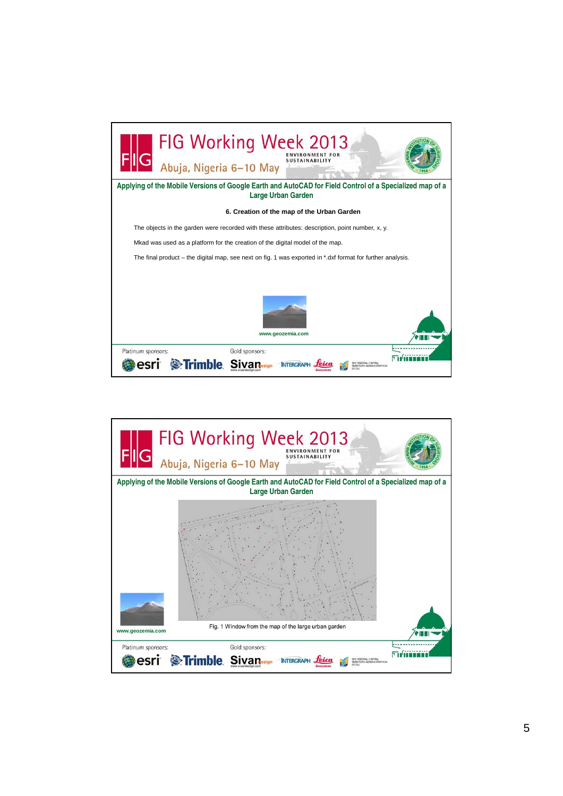

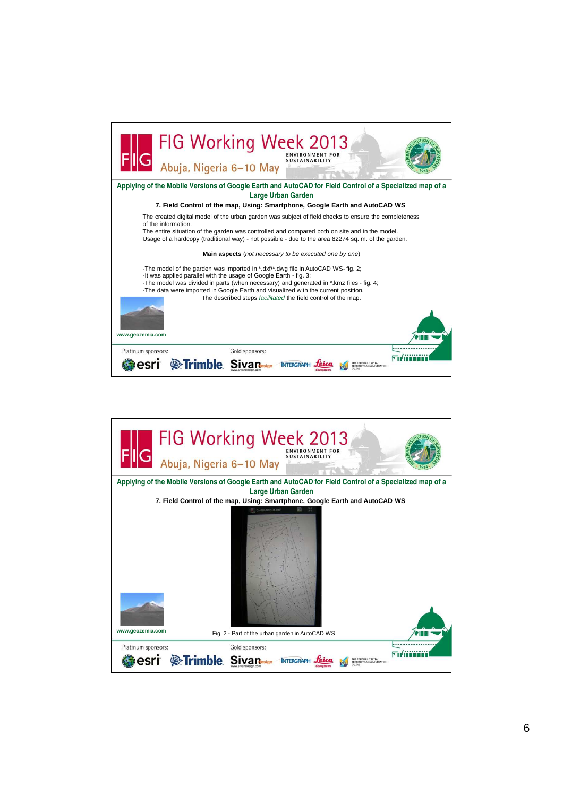| FIG Working Week 2013<br>Abuja, Nigeria 6-10 May<br><b>SUSTAINABILITY</b>                                                                                                                                                                                                                                                                                                                                                  |
|----------------------------------------------------------------------------------------------------------------------------------------------------------------------------------------------------------------------------------------------------------------------------------------------------------------------------------------------------------------------------------------------------------------------------|
| Applying of the Mobile Versions of Google Earth and AutoCAD for Field Control of a Specialized map of a<br>Large Urban Garden                                                                                                                                                                                                                                                                                              |
| 7. Field Control of the map, Using: Smartphone, Google Earth and AutoCAD WS                                                                                                                                                                                                                                                                                                                                                |
| The created digital model of the urban garden was subject of field checks to ensure the completeness<br>of the information.<br>The entire situation of the garden was controlled and compared both on site and in the model.<br>Usage of a hardcopy (traditional way) - not possible - due to the area 82274 sq. m. of the garden.                                                                                         |
| Main aspects (not necessary to be executed one by one)                                                                                                                                                                                                                                                                                                                                                                     |
| -The model of the garden was imported in *.dxf/*.dwg file in AutoCAD WS- fig. 2;<br>-It was applied parallel with the usage of Google Earth - fig. 3;<br>-The model was divided in parts (when necessary) and generated in *.kmz files - fig. 4;<br>-The data were imported in Google Earth and visualized with the current position.<br>The described steps facilitated the field control of the map.<br>www.geozemia.com |
| Gold sponsors:<br>Platinum sponsors:                                                                                                                                                                                                                                                                                                                                                                                       |
| <b>S</b> Trimble                                                                                                                                                                                                                                                                                                                                                                                                           |

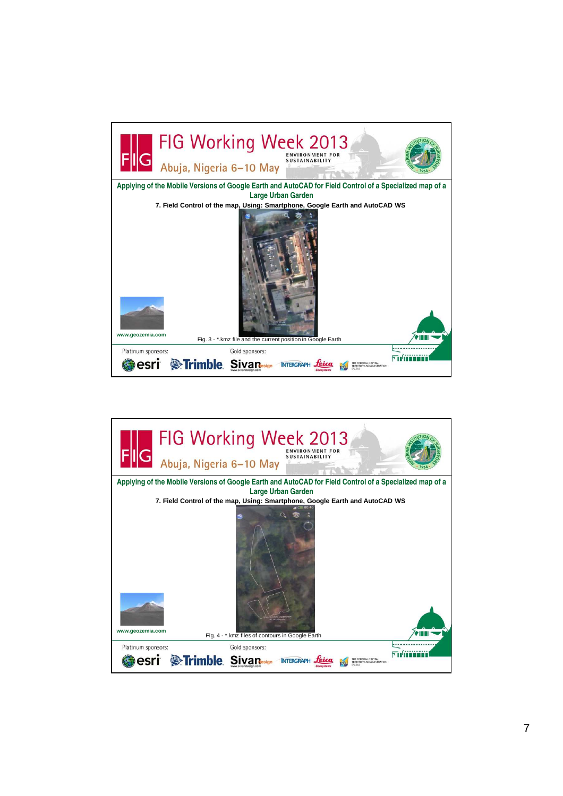

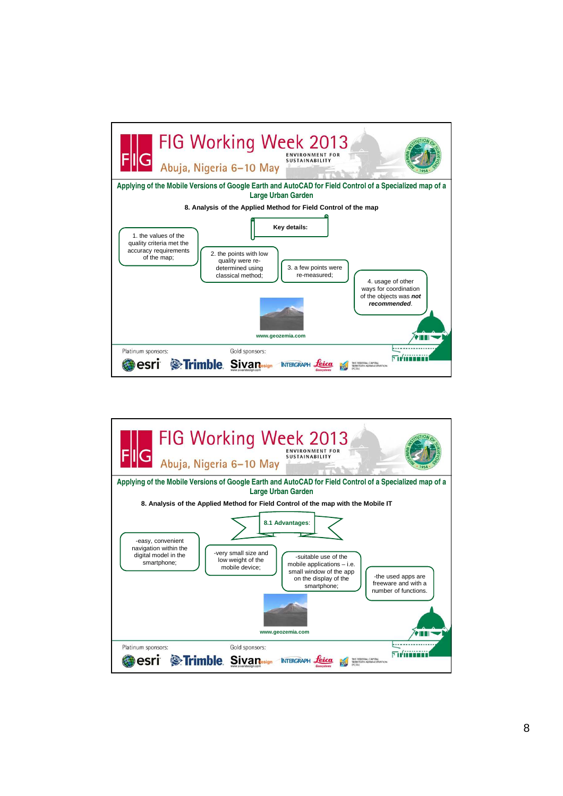

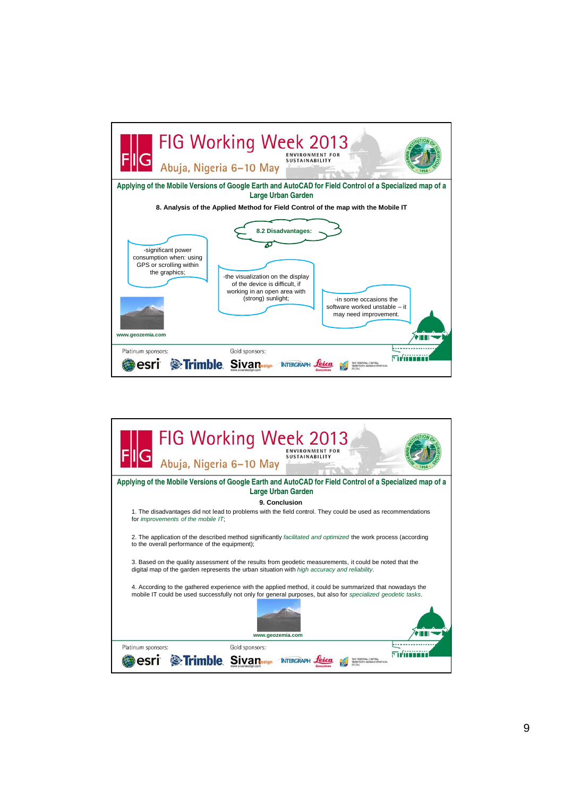

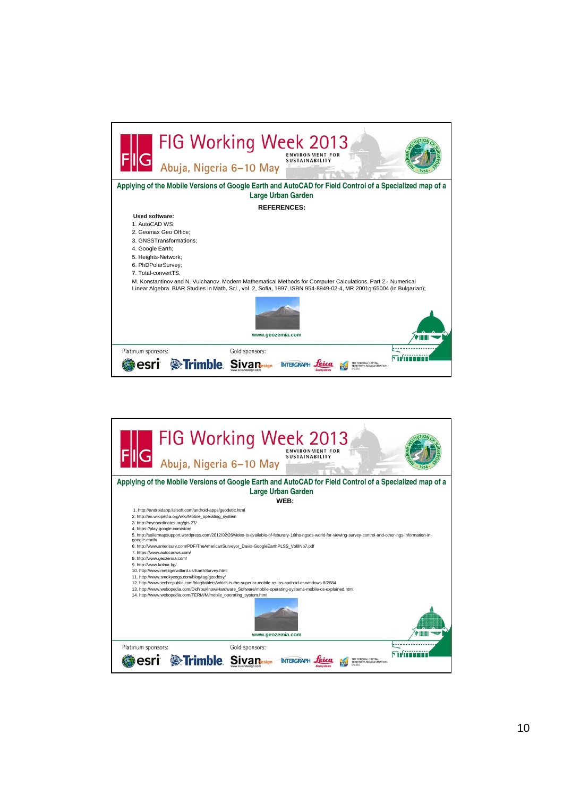